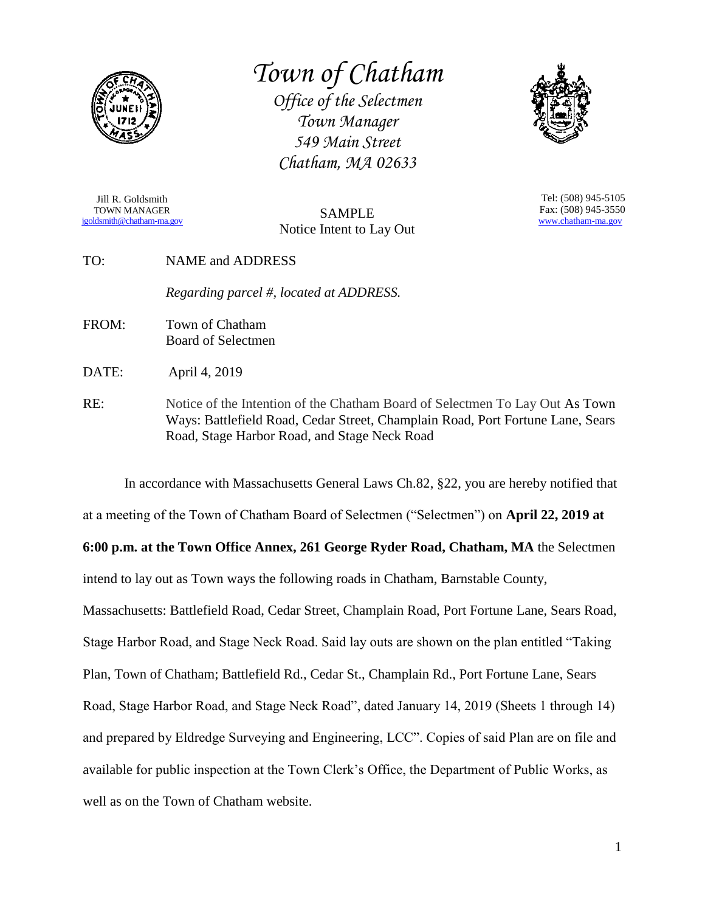

*Town of Chatham*

*Office of the Selectmen Town Manager 549 Main Street Chatham, MA 02633*



Jill R. Goldsmith TOWN MANAGER [jgoldsmith@chatham-ma.gov](mailto:jgoldsmith@chatham-ma.gov)

SAMPLE Notice Intent to Lay Out

Tel: (508) 945-5105 Fax: (508) 945-3550 [www.chatham-ma.gov](http://www.chatham-ma.gov/)

TO: NAME and ADDRESS

*Regarding parcel #, located at ADDRESS.*

FROM: Town of Chatham Board of Selectmen

DATE: April 4, 2019

RE: Notice of the Intention of the Chatham Board of Selectmen To Lay Out As Town Ways: Battlefield Road, Cedar Street, Champlain Road, Port Fortune Lane, Sears Road, Stage Harbor Road, and Stage Neck Road

In accordance with Massachusetts General Laws Ch.82, §22, you are hereby notified that at a meeting of the Town of Chatham Board of Selectmen ("Selectmen") on **April 22, 2019 at 6:00 p.m. at the Town Office Annex, 261 George Ryder Road, Chatham, MA** the Selectmen intend to lay out as Town ways the following roads in Chatham, Barnstable County, Massachusetts: Battlefield Road, Cedar Street, Champlain Road, Port Fortune Lane, Sears Road, Stage Harbor Road, and Stage Neck Road. Said lay outs are shown on the plan entitled "Taking Plan, Town of Chatham; Battlefield Rd., Cedar St., Champlain Rd., Port Fortune Lane, Sears Road, Stage Harbor Road, and Stage Neck Road", dated January 14, 2019 (Sheets 1 through 14) and prepared by Eldredge Surveying and Engineering, LCC". Copies of said Plan are on file and available for public inspection at the Town Clerk's Office, the Department of Public Works, as well as on the Town of Chatham website.